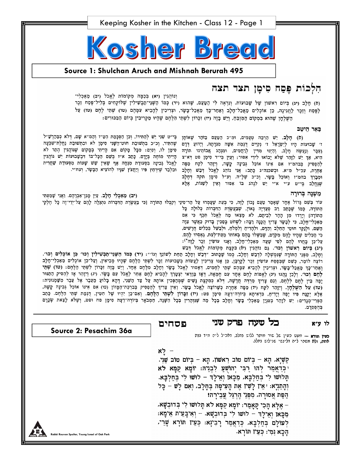

### Source 1: Shulchan Aruch and Mishnah Berurah 495

## הִלְכוֹת פֶּםַח סִימָן תצד תצה

וְנוֹהֲגִין (יא) בִּכָמָּה מִקוֹמוֹת לַאֱכֹל (יב) מַאֲכָלֵי־ (ח) חָלָב (יג) כִּיוֹם רְאֹשׁוֹן שֶׁל שָׁבוּעוֹת. וְנִרְאֶה לִי הַטַּעַם, שֶׁהוּא (יד) כְּמוֹ הַשְּׁנֵי־מַבְשִׁילִין שֶׁלּוֹקָחִים בְּלֵיל־פֶּסַח זֵכֶר לַפּּסַח וְזַכֶר לַחֲגִינֶה, כֵּן אוֹכִלִים מַאֲכַל־חָלָב וְאַחַר־כָּךְ מַאֲכַל־בָּשָׂר, וּצְרִיכִין לְהָבִיא עִמָּהֶם (טו) שְׁמַי לָחֶם (טו) צַל השלחו שהוא במקום המובח, ויש בזה (יז) וכרון לשתי הלחם שהיו מקריבין ביום הבכורים:

#### באר היטב

(ס) חָלָב. יֵשׁ הַרְבֵּה טְעָמִים, וּמ״כ הַטַּעַם בַּזֹהַר שֶׁאוֹתָן ז׳ שָׁבוּעוֹת הָיוּ לִיִשְׂרָאֵל ז׳ נְקִיּים דֻּגְמַת אִשָּׁה מִנִּדְתָהּ, וְיָדוּעַ דְּדָם גַעֲכָּר וְנַעֲשֶׂה חַלָּב, וְהַיְנוּ מִדְין לְרַחֲמִים, וּמִנְהַג אֲבוֹחֵינוּ חֹוֹרָה הִיא, אַךְ יֵשׁ לְזָהֵר שָׁלֹא יָבוֹאוּ לִידֵי אִסוּר; וְעַיֵּן בְּי״ד סִימָן פֿט דְּא״צ לְהַפְסִיק בְּבהמ״ז אִם אֵינוֹ אוֹכֵל גְּבִינָה קָשָׁה, וְיִזְהֵר לִקַּח מַפָּה אַחֶרֵת, עכ״ל מ״א. וּבְשכנה״ג כָּחַב: אֲנִי נוֹהֶג לָאֱכֹל דְּבָשׁ וְחָלָב וּמְבָרֵךְ בהמ״ז וְאוֹכֵל בָּשָׂר, וְכ״כ שָׁלָ״ה. וְע״ל סִימָן תקה דְּחָלָב שֶׁנֶחֱלַב בְּי״ט ע״י א״י יֵשׁ לִנְהֹג בּוֹ אִסּוּר וְאֵין לְשַׁנּוֹת, אֶלָא

*מְשֶׁ*נָה בְּרוּרָה

עוֹד בְּשֵׁם גָּרוֹל אֶחָד שָׁאָמַר טַצַם נָכוֹן לָזֶה, כִּי בְּעַת שֶׁצָמְדוּ עַל הַר־סִינֵי וְקִבְּלוּ הַתּוֹרָה [כִּי בַּעֲשֶׂרֶת הַדִּבְרוֹת נִתְגַּלָּה לָהֶם עַל־יְדֵי־זֶה כָּל חֶלְקִי הַתּוֹרָה, כְּמוֹ שֶׁכָּתַב רַב סְעַדְיָה גָאוֹן, שֶׁבַּעֲשֶׂרֶת הַדִּבְּרוֹת כְּלוּלָה כָּל הַתּוֹרָה] וְיָרְדוּ מִן הָהָר לְבֵיתָם, לֹא מָצְאוּ מֵה לֶאֱכֹל תֵּכֶף כִּי אִם מַאַכְלִי־חָלָב, כִּי לְבָשָׂר צָרִיךְ הֲכָנָה רַבָּה: לִשְׁחֹט בְּסַכִּין בָּדוּק כַּאֲשֶׁר צִוָּה הַשֵּׁם, וּלְנַקֵּר חוּטֵי הַחֵלֶב וְהַדָּם, וּלְהָדִיחַ וְלִמְלֹחַ, וּלְבַשֵּׁל בְּכֵלִים חֲדָשִׁים, כִּי הַכָּלִים שֶׁהַיוּ לַהֵם מִקְרֵם, שֶׁבִּשָּׁלוּ בָּהֵם בְּאוֹתוֹ מֵעֵת־לְעֵת, גֵאֵסְרוּ לָהֵם, עַל־כֵּן בָּחֲרוּ לְהֶם לְפִי שָׁעָה מַאַכְלִי־חָלָב, וְאָנוּ עוֹשִׂין זֵכֶר לְזֶה\*): (יג) בְּיוֹם רָאשׁוֹן וְכוּ׳. גֵּם נוֹהֲגִין (יֹא) בִּקְצָת מְקוֹמוֹת לֶאֱכֹל דְּבָשׁ

בְּי״ט שֶׁנִי יֵשׁ לְהַתִּירוֹ, וְכֵן הַסְכָּמַת הַטֵּ״ז וְהַמ״א שָׁם, דְּלֹא כְּמַהַרְשָׁ״ל שֶׁהָתִּיר, וְכִ״כ בִּתְשׁוּבַת חוּט־הַשָּׁנִי סִימָן לֹא וּבִתְשׁוּבַת נַחֲלַת־שִׁבְעָה סִימָן לז, וְסָיֵם: מִכָּל מָקוֹם אִם הָיִיתִי בְּמֶקוֹם שֶׁנּוֹהֲגִין הֶתֵּר לֹא הַיִּתְי מוֹחֶה בְּיָדָם. כָּתַב א״ז בְּשֵׁם הַכָּל־בּוֹ דְּבְשָׁבוּעוֹת יֵשׁ נוֹהֲגִין לַאֲכֹל גִּבְינָה בִּסְעוּדַת מִנְחָה אַף שָׁאֵין שָׁשׁ שָׁעוֹת מִסְּעוּדַת שַׁחֲרִית וּבִלְבֵד שִׁיּרְחַץ פִּיוּ וְיַחֲצֹץ שָׁנָּיוּ לְהוֹצִיא הַבָּשָׂר, וְעַח״י.

(יִב) מַאַכְלֵי חָלָב. עַיֵּן מָגֵן־אַבְרָהָם. וַאֲנִי שָׁמַעְתִּי

וְחָלָב, מִפְּנֵי הַתּוֹרָה שֶׁנִּמְשְׁלָה לִדְבַשׁ וְחָלָב, כְּמוֹ שֶׁכָּתוּב "דְּבָשׁ וְחָלָב הַחַת לְשוֹנֵךְ וְגוֹ": (יד) כְּמוֹ הַשְּׁנֵי־תַבְשִׁילִין וְכוּ' כֵּן אוֹכְלִים וְכוּ'. רוֹצֶה לוֹמַר, כִּשֶׁם שֶׁבְּפֵסַח עוֹשִׂין זַכֶּר לַקֵּרְבָּן, כֵּן אָנוּ צְרִיכִין לַעֲשוֹת בְּשָׁבוּעוֹת זַכֶּר לִשְׁתֵּי הַלֶּחָם שָׁהָיוּ מְבִיאִין, וְעַל־כֵּן אוֹכְלִים מַאַכְלֵי־חָלָב וְאַחַר־כָּךְ מַאֲכַל־בָּשָׂר, וּצְרִיכִין לְהָבִיא עִמָּהֶם שְׁתֵּי לְחָמִים, דְאָסוּר לֶאֱכֹל בָּשָׂר וְחָלָב מִלֶחֶם אֶחָד, וְיֵשׁ בָּזֶה זִכָּרוֹן לִשְׁתֵּי הַלֶּחֶם: (טו) שְׁתֵּי לָחֶם וְכוּ׳. וְלָכֵן נָהֲגוּ (יע) לָאֱפוֹת לֶחֶם אֶחָד עִם חֶמְאָה, דְּאָז בְּוַדֵּאי יִצְטָרֵךְ לְהָכִיא לֶחֶם אַחֵר לָאֱכֹל עִם בָּשָׂר. (יג) וְיָזָהֵר אָז לְהַסִּיק הַתַּנּוּר יָפָה בֵּין לָחֶם לְלָחֶם, וְגַם צָרִיךְ מַרְדֶּה חֲדָשָׁה, דְּלֹא כְּמִקֲצָת נָשִׁים שֶׁמְהַפְּכִין אוֹתָהּ עַל צַד הַשֵּׁנִי, דְהָא בְּלוּעַ מֵעֵּבֶר אֶל עֵבֶר מִשַּׁמְנוּנִית: (טו) עַל הַשַּׁלְחָן. וְיָזָהֵר לִקַח (יו) מַפָּה אַחֶרֶת כְּשֶׁרוֹצֶה לָאֱכֹל בָּשָׂר. וְאֵין צְרִיךְ לְהַפְסִיק בְּבִרְכַּת־הַמָּזוֹן (טו) אִם אִינוֹ אוֹכֵל גְּבִינָה קַשָּׁה, אֶלָּא יְקַנַּח פִּיו יָפֶה וְיָדִים, כִּדְאִיתָא בְּיוֹרֶה־דֵעָה סִימָן פט: (יז) זִכְּרוֹן לִשְׁתֵּי הַלֶּחֶם. וְאִס־כֵּן יִהְיוּ שָׁל חִטִּין, דָגְמַת שְׁתֵּי הַלָּחָם. כְּסִב הַפְרִי־מְגָדִים: יֵשׁ לִזָּהֵר בְּעִנְיַן מַאַכְלֵי בָּשָׂר וְחָלָב בְּכָל מַה שָׁגּוְהָרִין בְּכָל הַשָּׁנָה, הַמְבֹאָר בְּיוֹרֶה־דֵצָה סִימָן פח וּפט, וְשָלֹא לָצֵאת שְׁכָּרָם בְּהֶפְסָדָם.

#### כל שעה פרק שני לו ע״א

פסחים

" לַא

Source 2: Pesachim 36a

כעין חורא - מעט כעין של שור מותר ללוש נחלנ, דאכיל ליה מיד ננת אחת, ולא משהי ליה דלינשי שנילוש בחלב.

קַשְׁיָא, הָא - בִּיוֹם טוֹב רְאשׁוֹן, הָא - בִּיוֹם טוֹב שֵׁנִי. יִכְּדַאֲמַר לְהוּ רַבִּי יְהוֹשָׁעַ לִבְנֵיהּ: יוֹמַא קַמַּא לֹא תַּלוּשׁוּ לִי בִּחַלְבָּא, מִכָּאוֹ וְאֵילַדְּ – לוּשׁוּ לִי בִּחַלְבָּא. וְהָתַּנִיָא: יאֵיו לָשִׁיו אֶת הָעִיסָה בִּחָלָב, וְאִם לַשׁ – כַּל הַפַּת אֲסוּרָה, מִפְּנֵי הֶרְגֵּל עֲבִירָה! – אֵלֵּא הַכִי קַאָמַר: יוֹמָא קַמָּא לֹא תָּלוּשׁוּ לִי בְּדוּבְשָׁא. מְכַּאוֹ וְאֵילַדּ – לוּשׁוּ לִי בִּדוּבְשָׁא. – וְאִיבָּעֵית אֵימָא: לְעוֹלָם בְּחַלְבָא, כְּדַאֲמַר רָבִינָא: כְּעֵין תּוֹרָא שָׁרֵי, הַכָא נַמְי: כִּעֵין תּוֹרָא.

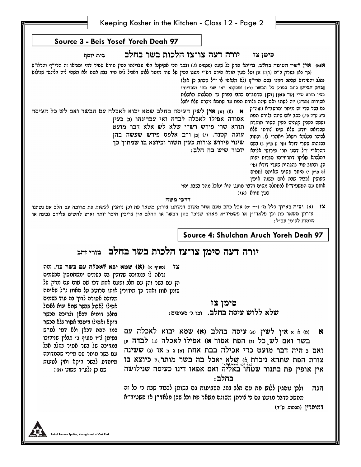| Keeping Kosher in the Kitchen - Class 12 - Page 2 |  |  |  |  |
|---------------------------------------------------|--|--|--|--|
|                                                   |  |  |  |  |



דרכי משה

(א) וכ"ה בארוך כלל מ׳ (דין יט) אבל כתב טעם אחר משום דנשתנו צורתן משאר פת וכן נוהגין לעשות פת מרובה עם חלב אם נשתנו צורתן משאר פת וכן פלאדי"ן או פשטיד"א מאחר שניכר בהן הבשר או החלב אין צריכין היכר יותר וא"צ להשים עליהם גבינה או עצמות לסימן עכ״ל:

## Source 4: Shulchan Aruch Yoreh Deah 97

# יורה דעה סימן צו־צז הלכות בשר בחלב פורי זהב

(סעיף א) (**K) שמא יבא לאכלה עם בשר כו'.** מזה נראה לי במדוכה שדוכין בה בשמים ומשתמשין הבשמים הן עם בשר והן עם חלב ופעם אחת דכו שם שום עם מרק של שומן אווז ואחר כך מחזירין אותו הרוטב על האווז נ״ל שאותה

םימן צז

שלא ללוש עיסה בחלב. ובו ג׳ סעיפים:

(a) א אין לשין (א) עיסה בחלב (א) שמא יבוא לאכלה עם × בשר ואם לש כל (נ) הפת אסור א) אפילו לאכלה (נ) לבדה א ואם 5 היה דבר מועט כדי אכילה בבת אחת <sub>ואז</sub> ג 5 או (ג) ששינה צורת הפת שתהא ניכרת ֵ6) שלא יאכל בה בשר מותר,ד כיוצא בו אין אופין פת בתנור שטחו באליה ואם אפאו דינו כעיסה שנילושה בחלב:

ולכן נוהגין ללוש פת עם חלב בחג השבועות גם בשומן לכבוד שבת כי כל זה הגה מחשב כדבר מועט גם כי לורתן משונה משאר פת וכל שכן פלאד״ן או פשטיד״א

דמותרין (הגהות ש"ד)

מדוכה אסורה לדוך בה עוד בשמים אפילו לאכול בבשר שמא יבוא לאכול בחלב דומיא דכאן ולריכה הכשר דוקא ואפילו דיעבד אסור בלא הכשר כמו הפת דכאן ולא דמי למ״ש בסימן ל"ו סעיף ג' תבלין שנידוכו במדוכה של בשר אסור בחלב אבל עם בשר מותר שם מיירי שהמדוכה מיוחדת לבשר דוקא ואין לטעות

:ס כן נלע״ד פשוט (א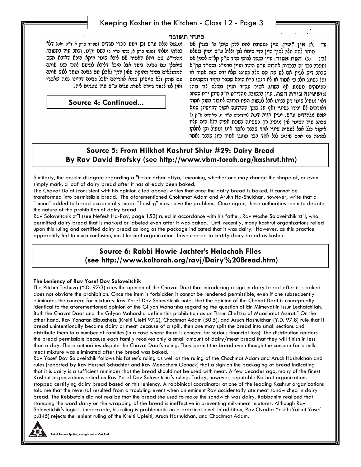## Keeping Kosher in the Kitchen - Class 12 - Page 3

#### פתחי תשובה

ונעשה נבלה ע״ש וכן דעת הפרי מגדים (שפ״ד ס״ק א ד״ה ואם) דלא ככרתי ופלתי (פלתי ס״ק א, כרתי ס״ק ג) בשם זקינו. וכתב עוד בתשובת מהרי״ט שם דהא דאסור אם ליכא שינוי דוקא היכא דאיכא חשש שיאכלן עם גבינה ביחד אבל היכא דליכא למיחש להכי כמו אותם הממולאים במיני מחיקה שאין דרך לאכלן עם גבינה מותר ללוש אותם עם שומן ולא חיישינן שמא אחריהם יאכל גבינה דדיינו במה שאסרו ואין לנו לגזור גזירה אחרת עליה ע״ש עוד טעמים לזה:

**Source 4: Continued...** 

צו (b) אין לשין. עיין נתשונת למח לדק סימן פ׳ נענין אס מותר לתת חלב לתוך היין כדי שיהא לבן וללול ע״ש ועיין בנחלת (3) ופי: (כ) הפת אסור. עיין נספר לנושי שרד ס״ק קל״ח לענין אס נתערב ככר זה בככרות אחרות ע"ש היטב ועיין פרמ"ג בשפ"ד סק"א שכתב דיש לעיין אם לש פת עם חלב בשוגג שלא ידע שזה אסור או נפל בשוגג חלב מי אסור או לא קנסו כ״א היכא שעבר במזיד ומסחימת הפוסקים משמע אף בשוגג אסור עכ״ד ועיין בנחלח לבי בזה: (ג)ששינה צורת הפת. עיין נתשונת מהרי״ט ח״נ סימן י״ח שכתנ דאין מועיל שינוי רק בביתו אבל לעשות הפת מרובה למכור בשוק אסור דאורחים לא יכירו בשינוי ואף על סמך ההודעה אסור דחיישינן שמא ישכח מלהודיע ע"ש. ועיין חוות דעת (חידושים ס"ק ה, דיאורים ס"ק ג) שכתב עוד דשינוי אין מועיל רק כששינה בשעת אפיה דלא היה עליו איסור כלל אבל לעשות שינוי אחר שכבר נאסר אינו מועיל וכן לחלקו להרבה בני אדם שיגיע לכל אחד דבר מועט אסור כיון שכבר נאסר

## **Source 5: From Hilkhot Kashrut Shiur #29: Dairy Bread By Rav David Brofsky (see http://www.vbm-torah.org/kashrut.htm)**

Similarly, the poskim disagree regarding a "heker achar afiya," meaning, whether one may change the shape of, or even simply mark, a loaf of dairy bread after it has already been baked.

The Chavat Da'at (consistent with his opinion cited above) writes that once the dairy bread is baked, it cannot be transformed into permissible bread. The aforementioned Chokhmat Adam and Arukh Ha-Shulchan, however, write that a "siman" added to bread accidentally made "fleishig" may solve the problem. Once again, these authorities seem to debate the nature of the prohibition of dairy bread.

Rav Soloveitchik zt"l (see Nefesh Ha-Rav, page 153) ruled in accordance with his father, Rav Moshe Soloveitchik zt"l, who permitted dairy bread that is marked or labeled even after it was baked. Until recently, many kashrut organizations relied upon this ruling and certified dairy bread as long as the package indicated that it was dairy. However, as this practice apparently led to much confusion, most kashrut organizations have ceased to certify dairy bread as kosher.

## **Source 6: Rabbi Howie Jachter's Halachah Files (see http://www.koltorah.org/ravj/Dairy%20Bread.htm)**

#### **The Leniency of Rav Yosef Dov Soloveitchik**

The Pitchei Teshuva (Y.D. 97:3) cites the opinion of the Chavat Daat that introducing a sign in dairy bread after it is baked does not obviate the prohibition. Once the item is forbidden it cannot be rendered permissible, even if one subsequently eliminates the concern for mixtures. Rav Yosef Dov Soloveitchik notes that the opinion of the Chavat Daat is conceptually identical to the aforementioned opinion of the Gilyon Maharsha regarding the question of Ein Mimevatlin Issur Lechatchilah. Both the Chavat Daat and the Gilyon Maharsha define this prohibition as an "Issur Cheftza of Maachalot Asurot." On the other hand, Rav Yonatan Eibuschetz (Kreiti Uleiti 97:2), Chochmat Adam (50:5), and Aruch Hashulchan (Y.D. 97:8) rule that if bread unintentionally became dairy or meat because of a spill, then one may split the bread into small sections and distribute them to a number of families (in a case where there is concern for serious financial loss). The distribution renders the bread permissible because each family receives only a small amount of dairy/meat bread that they will finish in less than a day. These authorities dispute the Chavat Daat's ruling. They permit the bread even though the concern for a milkmeat mixture was eliminated after the bread was baked.

Rav Yosef Dov Soloveitchik follows his father's ruling as well as the ruling of the Chochmat Adam and Aruch Hashulchan and rules (reported by Rav Hershel Schachter and Rav Menachem Genack) that a sign on the packaging of bread indicating that it is dairy is a sufficient reminder that the bread should not be used with meat. A few decades ago, many of the finest Kashrut organizations relied on Rav Yosef Dov Soloveitchik's ruling. Today, however, reputable Kashrut organizations stopped certifying dairy bread based on this leniency. A rabbinical coordinator at one of the leading Kashrut organizations told me that the reversal resulted from a troubling event when an eminent Rav accidentally ate meat sandwiched in dairy bread. The Rebbetzin did not realize that the bread she used to make the sandwich was dairy. Rabbanim realized that stamping the word dairy on the wrapping of the bread is ineffective in preventing milk-meat mixtures. Although Rav Soloveitchik's logic is impeccable, his ruling is problematic on a practical level. In addition, Rav Ovadia Yosef (Yalkut Yosef p.845) rejects the lenient ruling of the Kreiti Upleiti, Aruch Hashulchan, and Chochmat Adam.